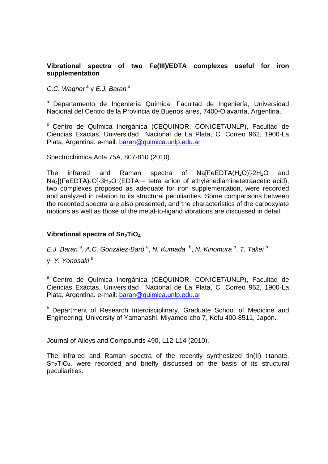#### **Vibrational spectra of two Fe(III)/EDTA complexes useful for iron supplementation**

*C.C. Wagner<sup>a</sup>* y *E.J. Baran*<sup>b</sup>

<sup>a</sup> Departamento de Ingeniería Química, Facultad de Ingeniería, Universidad Nacional del Centro de la Provincia de Buenos aires, 7400-Olavarría, Argentina.

b Centro de Química Inorgánica (CEQUINOR, CONICET/UNLP), Facultad de Ciencias Exactas, Universidad Nacional de La Plata, C. Correo 962, 1900-La Plata, Argentina. e-mail: baran@quimica.unlp.edu.ar

Spectrochimica Acta 75A, 807-810 (2010).

The infrared and Raman spectra of  $Na[FeEDTA(H<sub>2</sub>O)]-2H<sub>2</sub>O$  and  $Na<sub>4</sub>$ [(FeEDTA)<sub>2</sub>O]·3H<sub>2</sub>O (EDTA = tetra anion of ethylenediaminetetraacetic acid), two complexes proposed as adequate for iron supplementation, were recorded and analyzed in relation to its structural peculiarities. Some comparisons between the recorded spectra are also presented, and the characteristics of the carboxylate motions as well as those of the metal-to-ligand vibrations are discussed in detail.

## Vibrational spectra of Sn<sub>2</sub>TiO<sub>4</sub>

E.J. Baran<sup>a</sup>, A.C. González-Baró<sup>a</sup>, N. Kumada <sup>b</sup>, N. Kinomura<sup>b</sup>, T. Takei<sup>b</sup>

y *Y. Yonosaki* <sup>b</sup>

a Centro de Química Inorgánica (CEQUINOR, CONICET/UNLP), Facultad de Ciencias Exactas, Universidad Nacional de La Plata, C. Correo 962, 1900-La Plata, Argentina. e-mail: baran@quimica.unlp.edu.ar

**b** Department of Research Interdisciplinary, Graduate School of Medicine and Engineering, University of Yamanashi, Miyameo-cho 7, Kofu 400-8511, Japón.

Journal of Alloys and Compounds 490, L12-L14 (2010).

The infrared and Raman spectra of the recently synthesized tin(II) titanate,  $Sn<sub>2</sub>TiO<sub>4</sub>$ , were recorded and briefly discussed on the basis of its structural peculiarities.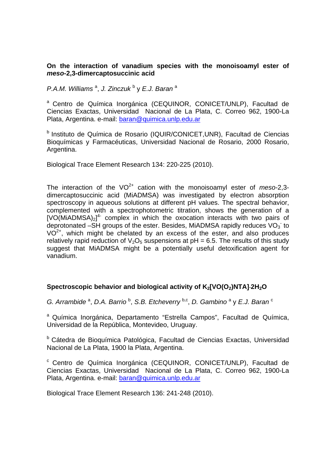#### **On the interaction of vanadium species with the monoisoamyl ester of**  *meso***-2,3-dimercaptosuccinic acid**

*P.A.M. Williams* <sup>a</sup> , *J. Zinczuk* <sup>b</sup> y *E.J. Baran* <sup>a</sup>

<sup>a</sup> Centro de Química Inorgánica (CEQUINOR, CONICET/UNLP), Facultad de Ciencias Exactas, Universidad Nacional de La Plata, C. Correo 962, 1900-La Plata, Argentina. e-mail: baran@quimica.unlp.edu.ar

b Instituto de Química de Rosario (IQUIR/CONICET,UNR), Facultad de Ciencias Bioquímicas y Farmacéuticas, Universidad Nacional de Rosario, 2000 Rosario, Argentina.

Biological Trace Element Research 134: 220-225 (2010).

The interaction of the  $VO^{2+}$  cation with the monoisoamyl ester of  $meso-2,3$ dimercaptosuccinic acid (MiADMSA) was investigated by electron absorption spectroscopy in aqueous solutions at different pH values. The spectral behavior, complemented with a spectrophotometric titration, shows the generation of a  $[VO(MiADMSA)<sub>2</sub>]$ <sup>4</sup> complex in which the oxocation interacts with two pairs of deprotonated  $-\overline{\text{SH}}$  groups of the ester. Besides, MiADMSA rapidly reduces VO<sub>3</sub> to  $VO<sup>2+</sup>$ , which might be chelated by an excess of the ester, and also produces relatively rapid reduction of  $V_2O_5$  suspensions at pH = 6.5. The results of this study suggest that MiADMSA might be a potentially useful detoxification agent for vanadium.

#### Spectroscopic behavior and biological activity of K<sub>2</sub>[VO(O<sub>2</sub>)NTA]<sup>2</sup>H<sub>2</sub>O

G. Arrambide<sup>a</sup>, D.A. Barrio<sup>b</sup>, S.B. Etcheverry<sup>b,c</sup>, D. Gambino<sup>a</sup> y E.J. Baran<sup>c</sup>

a Química Inorgánica, Departamento "Estrella Campos", Facultad de Química, Universidad de la República, Montevideo, Uruguay.

b Cátedra de Bioquímica Patológica, Facultad de Ciencias Exactas, Universidad Nacional de La Plata, 1900 la Plata, Argentina.

c Centro de Química Inorgánica (CEQUINOR, CONICET/UNLP), Facultad de Ciencias Exactas, Universidad Nacional de La Plata, C. Correo 962, 1900-La Plata, Argentina. e-mail: baran@quimica.unlp.edu.ar

Biological Trace Element Research 136: 241-248 (2010).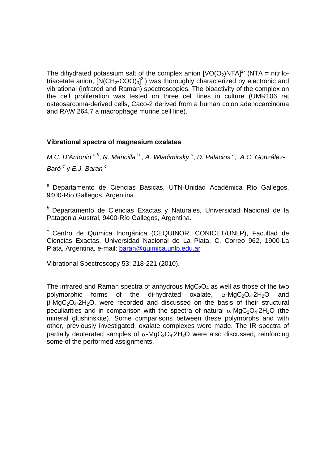The dihydrated potassium salt of the complex anion  $[VO(O<sub>2</sub>)NTA]<sup>2</sup>$  (NTA = nitrilotriacetate anion,  $[N(CH_2\text{-}COO)_3]^3$ ) was thoroughly characterized by electronic and vibrational (infrared and Raman) spectroscopies. The bioactivity of the complex on the cell proliferation was tested on three cell lines in culture (UMR106 rat osteosarcoma-derived cells, Caco-2 derived from a human colon adenocarcinoma and RAW 264.7 a macrophage murine cell line).

#### **Vibrational spectra of magnesium oxalates**

*M.C. D'Antonio*<sup>a,b</sup>, *N. Mancilla*<sup>b</sup>, *A. Wladimirsky*<sup>a</sup>, *D. Palacios*<sup>a</sup>, *A.C. González-Baró <sup>c</sup>* y *E.J. Baran c* 

*<sup>a</sup>* Departamento de Ciencias Básicas, UTN-Unidad Académica Río Gallegos, 9400-Río Gallegos, Argentina.

*<sup>b</sup>* Departamento de Ciencias Exactas y Naturales, Universidad Nacional de la Patagonia Austral, 9400-Río Gallegos, Argentina.

*<sup>c</sup>* Centro de Química Inorgánica (CEQUINOR, CONICET/UNLP), Facultad de Ciencias Exactas, Universidad Nacional de La Plata, C. Correo 962, 1900-La Plata, Argentina. e-mail: baran@quimica.unlp.edu.ar

Vibrational Spectroscopy 53: 218-221 (2010).

The infrared and Raman spectra of anhydrous  $MqC<sub>2</sub>O<sub>4</sub>$  as well as those of the two polymorphic forms of the di-hydrated oxalate,  $\alpha$ -MgC<sub>2</sub>O<sub>4</sub>.2H<sub>2</sub>O and  $\beta$ -MgC<sub>2</sub>O<sub>4</sub>.2H<sub>2</sub>O, were recorded and discussed on the basis of their structural peculiarities and in comparison with the spectra of natural  $\alpha$ -MgC<sub>2</sub>O<sub>4</sub>.2H<sub>2</sub>O (the mineral glushinskite). Some comparisons between these polymorphs and with other, previously investigated, oxalate complexes were made. The IR spectra of partially deuterated samples of  $\alpha$ -MgC<sub>2</sub>O<sub>4</sub>.2H<sub>2</sub>O were also discussed, reinforcing some of the performed assignments.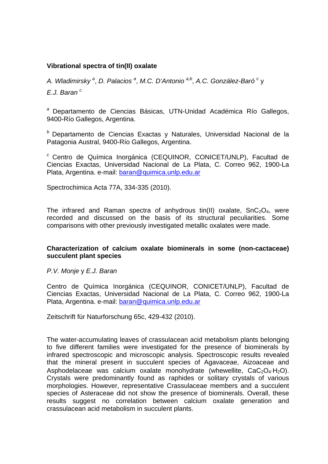#### **Vibrational spectra of tin(II) oxalate**

A. Wladimirsky<sup>a</sup>, D. Palacios<sup>a</sup>, M.C. D'Antonio<sup>a,b</sup>, A.C. González-Baró<sup>c</sup>y *E.J. Baran c*

*<sup>a</sup>* Departamento de Ciencias Básicas, UTN-Unidad Académica Río Gallegos, 9400-Río Gallegos, Argentina.

*<sup>b</sup>* Departamento de Ciencias Exactas y Naturales, Universidad Nacional de la Patagonia Austral, 9400-Río Gallegos, Argentina.

*<sup>c</sup>* Centro de Química Inorgánica (CEQUINOR, CONICET/UNLP), Facultad de Ciencias Exactas, Universidad Nacional de La Plata, C. Correo 962, 1900-La Plata, Argentina. e-mail: baran@quimica.unlp.edu.ar

Spectrochimica Acta 77A, 334-335 (2010).

The infrared and Raman spectra of anhydrous tin(II) oxalate,  $SnC<sub>2</sub>O<sub>4</sub>$ , were recorded and discussed on the basis of its structural peculiarities. Some comparisons with other previously investigated metallic oxalates were made.

#### **Characterization of calcium oxalate biominerals in some (non-cactaceae) succulent plant species**

*P.V. Monje* y *E.J. Baran* 

Centro de Química Inorgánica (CEQUINOR, CONICET/UNLP), Facultad de Ciencias Exactas, Universidad Nacional de La Plata, C. Correo 962, 1900-La Plata, Argentina. e-mail: baran@quimica.unlp.edu.ar

Zeitschrift für Naturforschung 65c, 429-432 (2010).

The water-accumulating leaves of crassulacean acid metabolism plants belonging to five different families were investigated for the presence of biominerals by infrared spectroscopic and microscopic analysis. Spectroscopic results revealed that the mineral present in succulent species of Agavaceae, Aizoaceae and Asphodelaceae was calcium oxalate monohydrate (whewellite,  $CaC<sub>2</sub>O<sub>4</sub>·H<sub>2</sub>O$ ). Crystals were predominantly found as raphides or solitary crystals of various morphologies. However, representative Crassulaceae members and a succulent species of Asteraceae did not show the presence of biominerals. Overall, these results suggest no correlation between calcium oxalate generation and crassulacean acid metabolism in succulent plants.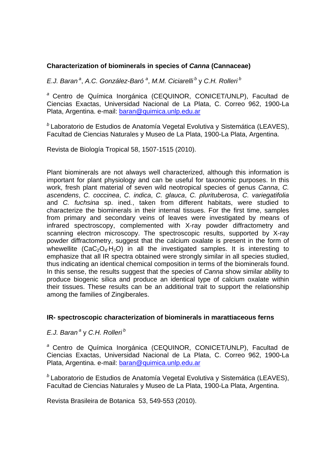## **Characterization of biominerals in species of** *Canna* **(Cannaceae)**

*E.J. Baran a*, *A.C. González-Baró <sup>a</sup>* , *M.M. Ciciarelli b* y *C.H. Rolleri b*

*<sup>a</sup>* Centro de Química Inorgánica (CEQUINOR, CONICET/UNLP), Facultad de Ciencias Exactas, Universidad Nacional de La Plata, C. Correo 962, 1900-La Plata, Argentina. e-mail: baran@quimica.unlp.edu.ar

*<sup>b</sup>* Laboratorio de Estudios de Anatomía Vegetal Evolutiva y Sistemática (LEAVES), Facultad de Ciencias Naturales y Museo de La Plata, 1900-La Plata, Argentina.

Revista de Biología Tropical 58, 1507-1515 (2010).

Plant biominerals are not always well characterized, although this information is important for plant physiology and can be useful for taxonomic purposes. In this work, fresh plant material of seven wild neotropical species of genus *Canna*, *C. ascendens*, *C. coccinea*, *C. indica*, *C. glauca*, *C. plurituberosa*, *C. variegatifolia* and *C. fuchsina* sp. ined*.*, taken from different habitats, were studied to characterize the biominerals in their internal tissues. For the first time, samples from primary and secondary veins of leaves were investigated by means of infrared spectroscopy, complemented with X-ray powder diffractometry and scanning electron microscopy. The spectroscopic results, supported by X-ray powder diffractometry, suggest that the calcium oxalate is present in the form of whewellite  $(CaC<sub>2</sub>O<sub>4</sub>·H<sub>2</sub>O)$  in all the investigated samples. It is interesting to emphasize that all IR spectra obtained were strongly similar in all species studied, thus indicating an identical chemical composition in terms of the biominerals found. In this sense, the results suggest that the species of *Canna* show similar ability to produce biogenic silica and produce an identical type of calcium oxalate within their tissues. These results can be an additional trait to support the relationship among the families of Zingiberales.

#### **IR- spectroscopic characterization of biominerals in marattiaceous ferns**

#### *E.J. Baran a* y *C.H. Rolleri b*

*<sup>a</sup>* Centro de Química Inorgánica (CEQUINOR, CONICET/UNLP), Facultad de Ciencias Exactas, Universidad Nacional de La Plata, C. Correo 962, 1900-La Plata, Argentina. e-mail: baran@quimica.unlp.edu.ar

*<sup>b</sup>* Laboratorio de Estudios de Anatomía Vegetal Evolutiva y Sistemática (LEAVES), Facultad de Ciencias Naturales y Museo de La Plata, 1900-La Plata, Argentina.

Revista Brasileira de Botanica 53, 549-553 (2010).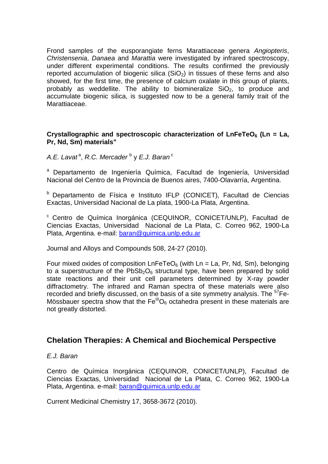Frond samples of the eusporangiate ferns Marattiaceae genera *Angiopteris*, *Christensenia*, *Danaea* and *Marattia* were investigated by infrared spectroscopy, under different experimental conditions. The results confirmed the previously reported accumulation of biogenic silica  $(SiO<sub>2</sub>)$  in tissues of these ferns and also showed, for the first time, the presence of calcium oxalate in this group of plants, probably as weddellite. The ability to biomineralize  $SiO<sub>2</sub>$ , to produce and accumulate biogenic silica, is suggested now to be a general family trait of the Marattiaceae.

#### Crystallographic and spectroscopic characterization of LnFeTeO<sub>6</sub> (Ln = La, **Pr, Nd, Sm) materials"**

A.E. Lavat<sup>a</sup>, R.C. Mercader <sup>b</sup> y E.J. Baran<sup>c</sup>

a Departamento de Ingeniería Química, Facultad de Ingeniería, Universidad Nacional del Centro de la Provincia de Buenos aires, 7400-Olavarría, Argentina.

b Departamento de Física e Instituto IFLP (CONICET), Facultad de Ciencias Exactas, Universidad Nacional de La plata, 1900-La Plata, Argentina.

c Centro de Química Inorgánica (CEQUINOR, CONICET/UNLP), Facultad de Ciencias Exactas, Universidad Nacional de La Plata, C. Correo 962, 1900-La Plata, Argentina. e-mail: baran@quimica.unlp.edu.ar

Journal and Alloys and Compounds 508, 24-27 (2010).

Four mixed oxides of composition  $LnFeTeO<sub>6</sub>$  (with  $Ln = La$ , Pr, Nd, Sm), belonging to a superstructure of the  $PbSb<sub>2</sub>O<sub>6</sub>$  structural type, have been prepared by solid state reactions and their unit cell parameters determined by X-ray powder diffractometry. The infrared and Raman spectra of these materials were also recorded and briefly discussed, on the basis of a site symmetry analysis. The <sup>57</sup>Fe-Mössbauer spectra show that the Fe<sup>III</sup>O<sub>6</sub> octahedra present in these materials are not greatly distorted.

# **Chelation Therapies: A Chemical and Biochemical Perspective**

#### *E.J. Baran*

Centro de Química Inorgánica (CEQUINOR, CONICET/UNLP), Facultad de Ciencias Exactas, Universidad Nacional de La Plata, C. Correo 962, 1900-La Plata, Argentina. e-mail: baran@quimica.unlp.edu.ar

Current Medicinal Chemistry 17, 3658-3672 (2010).